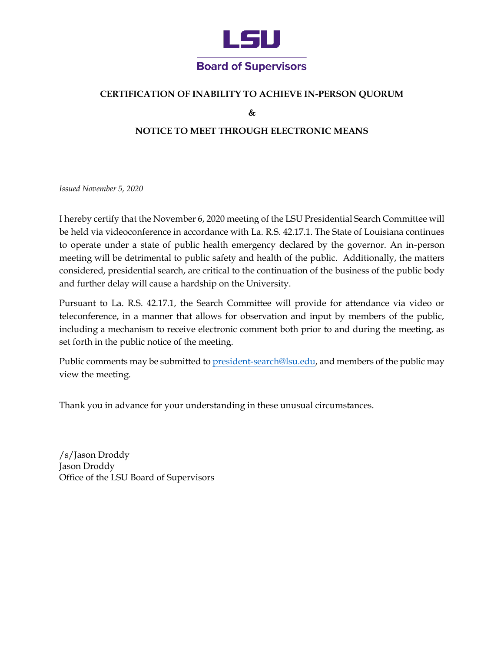

## **CERTIFICATION OF INABILITY TO ACHIEVE IN-PERSON QUORUM**

**&**

## **NOTICE TO MEET THROUGH ELECTRONIC MEANS**

*Issued November 5, 2020*

I hereby certify that the November 6, 2020 meeting of the LSU Presidential Search Committee will be held via videoconference in accordance with La. R.S. 42.17.1. The State of Louisiana continues to operate under a state of public health emergency declared by the governor. An in-person meeting will be detrimental to public safety and health of the public. Additionally, the matters considered, presidential search, are critical to the continuation of the business of the public body and further delay will cause a hardship on the University.

Pursuant to La. R.S. 42.17.1, the Search Committee will provide for attendance via video or teleconference, in a manner that allows for observation and input by members of the public, including a mechanism to receive electronic comment both prior to and during the meeting, as set forth in the public notice of the meeting.

Public comments may be submitted t[o president-search@lsu.edu,](mailto:president-search@lsu.edu) and members of the public may view the meeting.

Thank you in advance for your understanding in these unusual circumstances.

/s/Jason Droddy Jason Droddy Office of the LSU Board of Supervisors